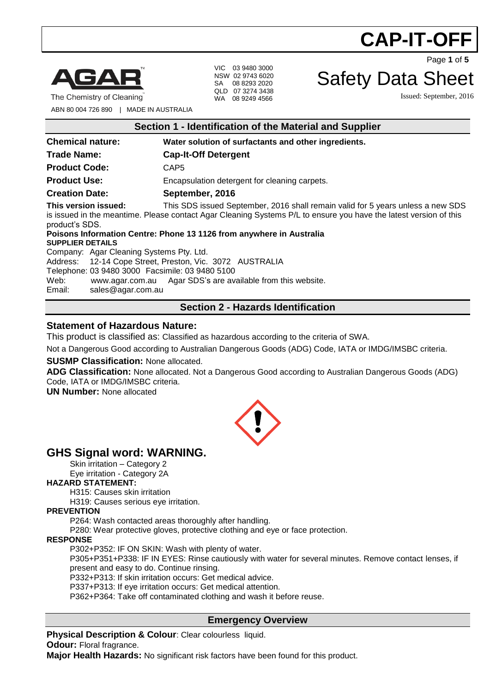



The Chemistry of Cleaning

VIC 03 9480 3000 NSW 02 9743 6020 SA 08 8293 2020 QLD 07 3274 3438 WA 08 9249 4566

Page **1** of **5**

### Safety Data Sheet

Issued: September, 2016

ABN 80 004 726 890 | MADE IN AUSTRALIA

| Section 1 - Identification of the Material and Supplier                                                                                                                                                                                        |                                                                      |  |
|------------------------------------------------------------------------------------------------------------------------------------------------------------------------------------------------------------------------------------------------|----------------------------------------------------------------------|--|
| <b>Chemical nature:</b>                                                                                                                                                                                                                        | Water solution of surfactants and other ingredients.                 |  |
| <b>Trade Name:</b>                                                                                                                                                                                                                             | <b>Cap-It-Off Detergent</b>                                          |  |
| <b>Product Code:</b>                                                                                                                                                                                                                           | CAP <sub>5</sub>                                                     |  |
| <b>Product Use:</b>                                                                                                                                                                                                                            | Encapsulation detergent for cleaning carpets.                        |  |
| <b>Creation Date:</b>                                                                                                                                                                                                                          | September, 2016                                                      |  |
| This version issued:<br>This SDS issued September, 2016 shall remain valid for 5 years unless a new SDS<br>is issued in the meantime. Please contact Agar Cleaning Systems P/L to ensure you have the latest version of this<br>product's SDS. |                                                                      |  |
| <b>SUPPLIER DETAILS</b>                                                                                                                                                                                                                        | Poisons Information Centre: Phone 13 1126 from anywhere in Australia |  |
| Company: Agar Cleaning Systems Pty. Ltd.                                                                                                                                                                                                       |                                                                      |  |
| Address: 12-14 Cope Street, Preston, Vic. 3072 AUSTRALIA                                                                                                                                                                                       |                                                                      |  |

Telephone: 03 9480 3000 Facsimile: 03 9480 5100

Web: [www.agar.com.au](http://www.agar.com.au/) Agar SDS's are available from this website.<br>Email: sales@agar.com.au

[sales@agar.com.au](mailto:sales@agar.com.au)

#### **Section 2 - Hazards Identification**

#### **Statement of Hazardous Nature:**

This product is classified as: Classified as hazardous according to the criteria of SWA.

Not a Dangerous Good according to Australian Dangerous Goods (ADG) Code, IATA or IMDG/IMSBC criteria.

#### **SUSMP Classification:** None allocated.

**ADG Classification:** None allocated. Not a Dangerous Good according to Australian Dangerous Goods (ADG) Code, IATA or IMDG/IMSBC criteria.

**UN Number:** None allocated



### **GHS Signal word: WARNING.**

Skin irritation – Category 2 Eye irritation - Category 2A

#### **HAZARD STATEMENT:**

H315: Causes skin irritation

H319: Causes serious eye irritation.

#### **PREVENTION**

P264: Wash contacted areas thoroughly after handling.

P280: Wear protective gloves, protective clothing and eye or face protection.

#### **RESPONSE**

P302+P352: IF ON SKIN: Wash with plenty of water.

P305+P351+P338: IF IN EYES: Rinse cautiously with water for several minutes. Remove contact lenses, if present and easy to do. Continue rinsing.

P332+P313: If skin irritation occurs: Get medical advice.

P337+P313: If eye irritation occurs: Get medical attention.

P362+P364: Take off contaminated clothing and wash it before reuse.

#### **Emergency Overview**

**Physical Description & Colour: Clear colourless liquid. Odour:** Floral fragrance.

**Major Health Hazards:** No significant risk factors have been found for this product.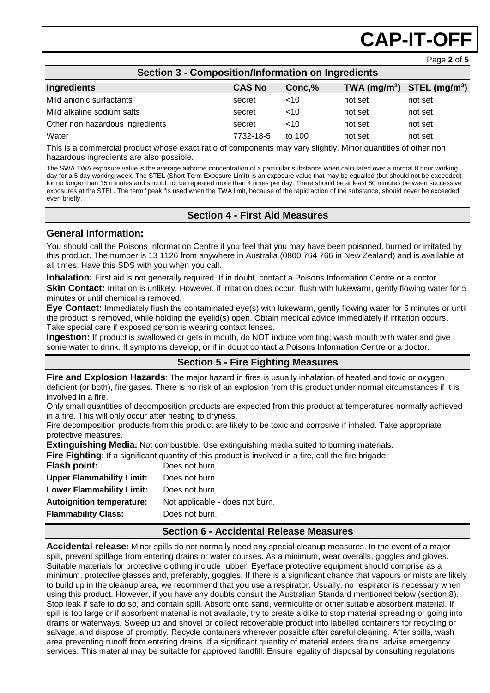# **CAP-IT-OF**

Page **2** of **5**

| <b>Section 3 - Composition/Information on Ingredients</b> |               |        |         |                                |  |
|-----------------------------------------------------------|---------------|--------|---------|--------------------------------|--|
| Ingredients                                               | <b>CAS No</b> | Conc,% |         | TWA $(mg/m^3)$ STEL $(mg/m^3)$ |  |
| Mild anionic surfactants                                  | secret        | ~10    | not set | not set                        |  |
| Mild alkaline sodium salts                                | secret        | $<$ 10 | not set | not set                        |  |
| Other non hazardous ingredients                           | secret        | $<$ 10 | not set | not set                        |  |
| Water                                                     | 7732-18-5     | to 100 | not set | not set                        |  |

This is a commercial product whose exact ratio of components may vary slightly. Minor quantities of other non hazardous ingredients are also possible.

The SWA TWA exposure value is the average airborne concentration of a particular substance when calculated over a normal 8 hour working day for a 5 day working week. The STEL (Short Term Exposure Limit) is an exposure value that may be equalled (but should not be exceeded) for no longer than 15 minutes and should not be repeated more than 4 times per day. There should be at least 60 minutes between successive exposures at the STEL. The term "peak "is used when the TWA limit, because of the rapid action of the substance, should never be exceeded, even briefly.

#### **Section 4 - First Aid Measures**

#### **General Information:**

You should call the Poisons Information Centre if you feel that you may have been poisoned, burned or irritated by this product. The number is 13 1126 from anywhere in Australia (0800 764 766 in New Zealand) and is available at all times. Have this SDS with you when you call.

**Inhalation:** First aid is not generally required. If in doubt, contact a Poisons Information Centre or a doctor.

**Skin Contact:** Irritation is unlikely. However, if irritation does occur, flush with lukewarm, gently flowing water for 5 minutes or until chemical is removed.

**Eye Contact:** Immediately flush the contaminated eye(s) with lukewarm, gently flowing water for 5 minutes or until the product is removed, while holding the eyelid(s) open. Obtain medical advice immediately if irritation occurs. Take special care if exposed person is wearing contact lenses.

**Ingestion:** If product is swallowed or gets in mouth, do NOT induce vomiting; wash mouth with water and give some water to drink. If symptoms develop, or if in doubt contact a Poisons Information Centre or a doctor.

#### **Section 5 - Fire Fighting Measures**

**Fire and Explosion Hazards**: The major hazard in fires is usually inhalation of heated and toxic or oxygen deficient (or both), fire gases. There is no risk of an explosion from this product under normal circumstances if it is involved in a fire.

Only small quantities of decomposition products are expected from this product at temperatures normally achieved in a fire. This will only occur after heating to dryness.

Fire decomposition products from this product are likely to be toxic and corrosive if inhaled. Take appropriate protective measures.

**Extinguishing Media:** Not combustible. Use extinguishing media suited to burning materials.

**Fire Fighting:** If a significant quantity of this product is involved in a fire, call the fire brigade. **Flash point:** Does not burn. **Upper Flammability Limit:** Does not burn. **Lower Flammability Limit:** Does not burn. **Autoignition temperature:** Not applicable - does not burn. **Flammability Class:** Does not burn.

#### **Section 6 - Accidental Release Measures**

**Accidental release:** Minor spills do not normally need any special cleanup measures. In the event of a major spill, prevent spillage from entering drains or water courses. As a minimum, wear overalls, goggles and gloves. Suitable materials for protective clothing include rubber. Eye/face protective equipment should comprise as a minimum, protective glasses and, preferably, goggles. If there is a significant chance that vapours or mists are likely to build up in the cleanup area, we recommend that you use a respirator. Usually, no respirator is necessary when using this product. However, if you have any doubts consult the Australian Standard mentioned below (section 8). Stop leak if safe to do so, and contain spill. Absorb onto sand, vermiculite or other suitable absorbent material. If spill is too large or if absorbent material is not available, try to create a dike to stop material spreading or going into drains or waterways. Sweep up and shovel or collect recoverable product into labelled containers for recycling or salvage, and dispose of promptly. Recycle containers wherever possible after careful cleaning. After spills, wash area preventing runoff from entering drains. If a significant quantity of material enters drains, advise emergency services. This material may be suitable for approved landfill. Ensure legality of disposal by consulting regulations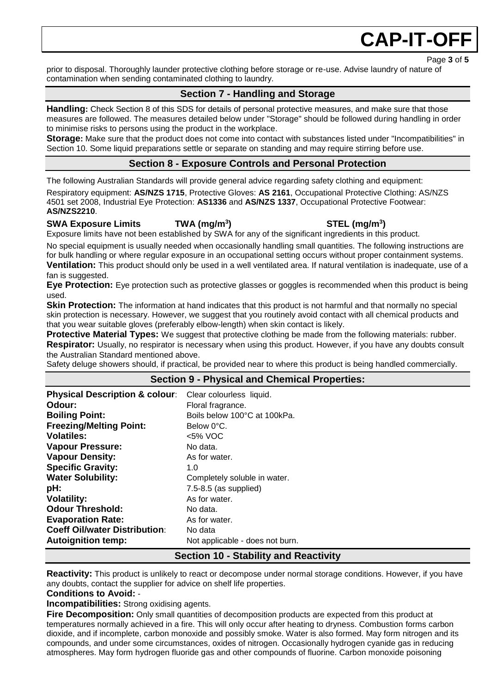### **CAP-IT-OF**

prior to disposal. Thoroughly launder protective clothing before storage or re-use. Advise laundry of nature of contamination when sending contaminated clothing to laundry.

#### **Section 7 - Handling and Storage**

**Handling:** Check Section 8 of this SDS for details of personal protective measures, and make sure that those measures are followed. The measures detailed below under "Storage" should be followed during handling in order to minimise risks to persons using the product in the workplace.

**Storage:** Make sure that the product does not come into contact with substances listed under "Incompatibilities" in Section 10. Some liquid preparations settle or separate on standing and may require stirring before use.

#### **Section 8 - Exposure Controls and Personal Protection**

The following Australian Standards will provide general advice regarding safety clothing and equipment:

Respiratory equipment: **AS/NZS 1715**, Protective Gloves: **AS 2161**, Occupational Protective Clothing: AS/NZS 4501 set 2008, Industrial Eye Protection: **AS1336** and **AS/NZS 1337**, Occupational Protective Footwear: **AS/NZS2210**.

#### **SWA Exposure Limits TWA (mg/m<sup>3</sup>**

**) STEL (mg/m<sup>3</sup> )** Exposure limits have not been established by SWA for any of the significant ingredients in this product.

No special equipment is usually needed when occasionally handling small quantities. The following instructions are

for bulk handling or where regular exposure in an occupational setting occurs without proper containment systems. **Ventilation:** This product should only be used in a well ventilated area. If natural ventilation is inadequate, use of a fan is suggested.

**Eye Protection:** Eye protection such as protective glasses or goggles is recommended when this product is being used.

**Skin Protection:** The information at hand indicates that this product is not harmful and that normally no special skin protection is necessary. However, we suggest that you routinely avoid contact with all chemical products and that you wear suitable gloves (preferably elbow-length) when skin contact is likely.

**Protective Material Types:** We suggest that protective clothing be made from the following materials: rubber. **Respirator:** Usually, no respirator is necessary when using this product. However, if you have any doubts consult the Australian Standard mentioned above.

Safety deluge showers should, if practical, be provided near to where this product is being handled commercially.

| <b>Section 9 - Physical and Chemical Properties:</b> |                                 |  |
|------------------------------------------------------|---------------------------------|--|
| <b>Physical Description &amp; colour:</b>            | Clear colourless liquid.        |  |
| Odour:                                               | Floral fragrance.               |  |
| <b>Boiling Point:</b>                                | Boils below 100°C at 100kPa.    |  |
| <b>Freezing/Melting Point:</b>                       | Below 0°C.                      |  |
| <b>Volatiles:</b>                                    | $<$ 5% VOC                      |  |
| <b>Vapour Pressure:</b>                              | No data.                        |  |
| <b>Vapour Density:</b>                               | As for water.                   |  |
| <b>Specific Gravity:</b>                             | 1.0                             |  |
| <b>Water Solubility:</b>                             | Completely soluble in water.    |  |
| pH:                                                  | $7.5 - 8.5$ (as supplied)       |  |
| <b>Volatility:</b>                                   | As for water.                   |  |
| <b>Odour Threshold:</b>                              | No data.                        |  |
| <b>Evaporation Rate:</b>                             | As for water.                   |  |
| <b>Coeff Oil/water Distribution:</b>                 | No data                         |  |
| <b>Autoignition temp:</b>                            | Not applicable - does not burn. |  |

#### **Section 10 - Stability and Reactivity**

**Reactivity:** This product is unlikely to react or decompose under normal storage conditions. However, if you have any doubts, contact the supplier for advice on shelf life properties.

**Conditions to Avoid:** -

**Incompatibilities:** Strong oxidising agents.

**Fire Decomposition:** Only small quantities of decomposition products are expected from this product at temperatures normally achieved in a fire. This will only occur after heating to dryness. Combustion forms carbon dioxide, and if incomplete, carbon monoxide and possibly smoke. Water is also formed. May form nitrogen and its compounds, and under some circumstances, oxides of nitrogen. Occasionally hydrogen cyanide gas in reducing atmospheres. May form hydrogen fluoride gas and other compounds of fluorine. Carbon monoxide poisoning

Page **3** of **5**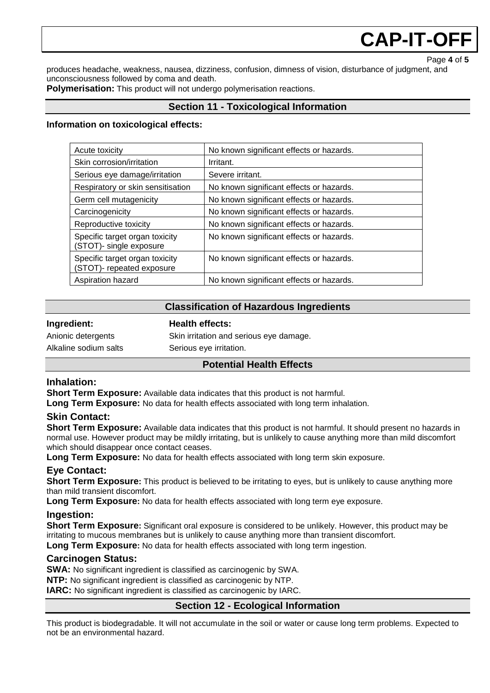## **CAP-IT-OF**

Page **4** of **5**

produces headache, weakness, nausea, dizziness, confusion, dimness of vision, disturbance of judgment, and unconsciousness followed by coma and death.

**Polymerisation:** This product will not undergo polymerisation reactions.

#### **Section 11 - Toxicological Information**

#### **Information on toxicological effects:**

| Acute toxicity                                                    | No known significant effects or hazards. |
|-------------------------------------------------------------------|------------------------------------------|
| Skin corrosion/irritation                                         | Irritant.                                |
| Serious eye damage/irritation                                     | Severe irritant.                         |
| Respiratory or skin sensitisation                                 | No known significant effects or hazards. |
| Germ cell mutagenicity                                            | No known significant effects or hazards. |
| Carcinogenicity                                                   | No known significant effects or hazards. |
| Reproductive toxicity                                             | No known significant effects or hazards. |
| Specific target organ toxicity<br><b>STOT)-</b> single exposure   | No known significant effects or hazards. |
| Specific target organ toxicity<br><b>STOT)-</b> repeated exposure | No known significant effects or hazards. |
| Aspiration hazard                                                 | No known significant effects or hazards. |

#### **Classification of Hazardous Ingredients**

#### **Ingredient: Health effects:**

Anionic detergents Skin irritation and serious eye damage. Alkaline sodium salts Serious eye irritation.

#### **Potential Health Effects**

#### **Inhalation:**

**Short Term Exposure:** Available data indicates that this product is not harmful.

**Long Term Exposure:** No data for health effects associated with long term inhalation.

#### **Skin Contact:**

**Short Term Exposure:** Available data indicates that this product is not harmful. It should present no hazards in normal use. However product may be mildly irritating, but is unlikely to cause anything more than mild discomfort which should disappear once contact ceases.

**Long Term Exposure:** No data for health effects associated with long term skin exposure.

#### **Eye Contact:**

**Short Term Exposure:** This product is believed to be irritating to eyes, but is unlikely to cause anything more than mild transient discomfort.

**Long Term Exposure:** No data for health effects associated with long term eye exposure.

#### **Ingestion:**

**Short Term Exposure:** Significant oral exposure is considered to be unlikely. However, this product may be irritating to mucous membranes but is unlikely to cause anything more than transient discomfort.

**Long Term Exposure:** No data for health effects associated with long term ingestion.

#### **Carcinogen Status:**

**SWA:** No significant ingredient is classified as carcinogenic by SWA.

**NTP:** No significant ingredient is classified as carcinogenic by NTP.

**IARC:** No significant ingredient is classified as carcinogenic by IARC.

#### **Section 12 - Ecological Information**

This product is biodegradable. It will not accumulate in the soil or water or cause long term problems. Expected to not be an environmental hazard.